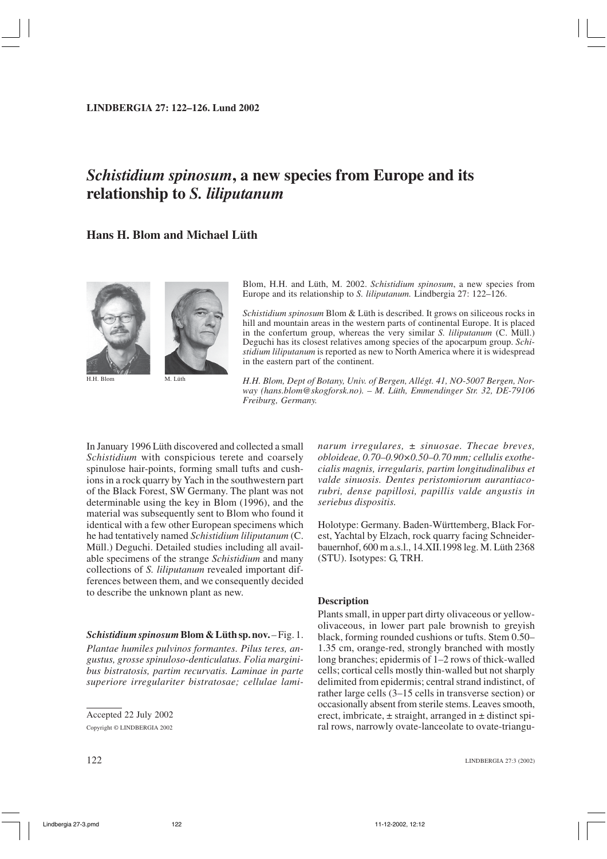**LINDBERGIA 27: 122–126. Lund 2002**

# *Schistidium spinosum***, a new species from Europe and its relationship to** *S. liliputanum*

# **Hans H. Blom and Michael Lüth**



H.H. Blom M. Lüth

Blom, H.H. and Lüth, M. 2002. *Schistidium spinosum*, a new species from Europe and its relationship to *S. liliputanum.* Lindbergia 27: 122–126.

*Schistidium spinosum* Blom & Lüth is described. It grows on siliceous rocks in hill and mountain areas in the western parts of continental Europe. It is placed in the confertum group, whereas the very similar *S. liliputanum* (C. Müll.) Deguchi has its closest relatives among species of the apocarpum group. *Schistidium liliputanum* is reported as new to North America where it is widespread in the eastern part of the continent.

*H.H. Blom, Dept of Botany, Univ. of Bergen, Allégt. 41, NO-5007 Bergen, Norway (hans.blom@skogforsk.no). – M. Lüth, Emmendinger Str. 32, DE-79106 Freiburg, Germany.*

In January 1996 Lüth discovered and collected a small *Schistidium* with conspicious terete and coarsely spinulose hair-points, forming small tufts and cushions in a rock quarry by Yach in the southwestern part of the Black Forest, SW Germany. The plant was not determinable using the key in Blom (1996), and the material was subsequently sent to Blom who found it identical with a few other European specimens which he had tentatively named *Schistidium liliputanum* (C. Müll.) Deguchi. Detailed studies including all available specimens of the strange *Schistidium* and many collections of *S. liliputanum* revealed important differences between them, and we consequently decided to describe the unknown plant as new.

## *Schistidiumspinosum***Blom & Lüth sp.nov.** –Fig. 1.

*Plantae humiles pulvinos formantes. Pilus teres, angustus, grosse spinuloso-denticulatus. Folia marginibus bistratosis, partim recurvatis. Laminae in parte superiore irregulariter bistratosae; cellulae lami-* *narum irregulares, ± sinuosae. Thecae breves, obloideae, 0.70–0.90×0.50–0.70 mm; cellulis exothecialis magnis, irregularis, partim longitudinalibus et valde sinuosis. Dentes peristomiorum aurantiacorubri, dense papillosi, papillis valde angustis in seriebus dispositis.*

Holotype: Germany. Baden-Württemberg, Black Forest, Yachtal by Elzach, rock quarry facing Schneiderbauernhof, 600 m a.s.l., 14.XII.1998 leg. M. Lüth 2368 (STU). Isotypes: G, TRH.

### **Description**

Plants small, in upper part dirty olivaceous or yellowolivaceous, in lower part pale brownish to greyish black, forming rounded cushions or tufts. Stem 0.50– 1.35 cm, orange-red, strongly branched with mostly long branches; epidermis of 1–2 rows of thick-walled cells; cortical cells mostly thin-walled but not sharply delimited from epidermis; central strand indistinct, of rather large cells (3–15 cells in transverse section) or occasionally absent from sterile stems. Leaves smooth, erect, imbricate,  $\pm$  straight, arranged in  $\pm$  distinct spiral rows, narrowly ovate-lanceolate to ovate-triangu-

Accepted 22 July 2002 Copyright © LINDBERGIA 2002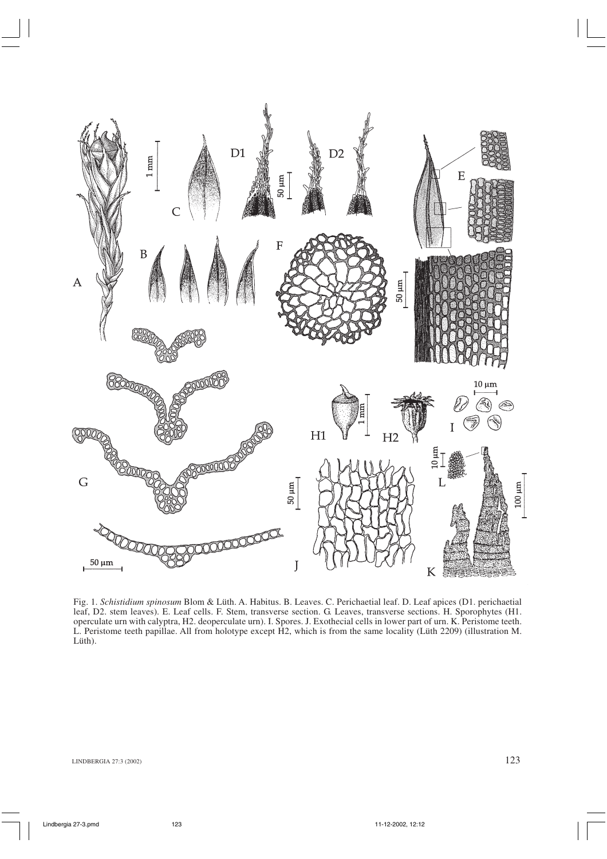

Fig. 1. *Schistidium spinosum* Blom & Lüth. A. Habitus. B. Leaves. C. Perichaetial leaf. D. Leaf apices (D1. perichaetial leaf, D2. stem leaves). E. Leaf cells. F. Stem, transverse section. G. Leaves, transverse sections. H. Sporophytes (H1. operculate urn with calyptra, H2. deoperculate urn). I. Spores. J. Exothecial cells in lower part of urn. K. Peristome teeth. L. Peristome teeth papillae. All from holotype except H2, which is from the same locality (Lüth 2209) (illustration M. Lüth).

LINDBERGIA 27:3 (2002)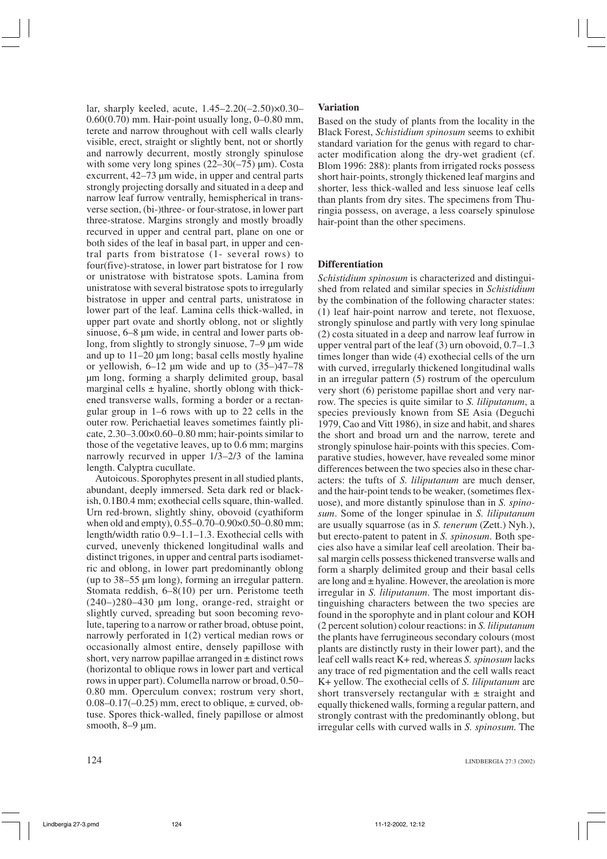lar, sharply keeled, acute, 1.45–2.20(–2.50)×0.30– 0.60(0.70) mm. Hair-point usually long, 0–0.80 mm, terete and narrow throughout with cell walls clearly visible, erect, straight or slightly bent, not or shortly and narrowly decurrent, mostly strongly spinulose with some very long spines  $(22-30(-75) \text{ µm})$ . Costa excurrent, 42–73 µm wide, in upper and central parts strongly projecting dorsally and situated in a deep and narrow leaf furrow ventrally, hemispherical in transverse section, (bi-)three- or four-stratose, in lower part three-stratose. Margins strongly and mostly broadly recurved in upper and central part, plane on one or both sides of the leaf in basal part, in upper and central parts from bistratose (1- several rows) to four(five)-stratose, in lower part bistratose for 1 row or unistratose with bistratose spots. Lamina from unistratose with several bistratose spots to irregularly bistratose in upper and central parts, unistratose in lower part of the leaf. Lamina cells thick-walled, in upper part ovate and shortly oblong, not or slightly sinuose, 6–8 µm wide, in central and lower parts oblong, from slightly to strongly sinuose, 7–9 µm wide and up to 11–20 µm long; basal cells mostly hyaline or yellowish,  $6-12$  µm wide and up to  $(35-)47-78$ µm long, forming a sharply delimited group, basal marginal cells  $\pm$  hyaline, shortly oblong with thickened transverse walls, forming a border or a rectangular group in 1–6 rows with up to 22 cells in the outer row. Perichaetial leaves sometimes faintly plicate, 2.30–3.00×0.60–0.80 mm; hair-points similar to those of the vegetative leaves, up to 0.6 mm; margins narrowly recurved in upper 1/3–2/3 of the lamina length. Calyptra cucullate.

Autoicous. Sporophytes present in all studied plants, abundant, deeply immersed. Seta dark red or blackish, 0.1B0.4 mm; exothecial cells square, thin-walled. Urn red-brown, slightly shiny, obovoid (cyathiform when old and empty), 0.55–0.70–0.90×0.50–0.80 mm; length/width ratio 0.9–1.1–1.3. Exothecial cells with curved, unevenly thickened longitudinal walls and distinct trigones, in upper and central parts isodiametric and oblong, in lower part predominantly oblong (up to 38–55 µm long), forming an irregular pattern. Stomata reddish, 6–8(10) per urn. Peristome teeth (240–)280–430 µm long, orange-red, straight or slightly curved, spreading but soon becoming revolute, tapering to a narrow or rather broad, obtuse point, narrowly perforated in 1(2) vertical median rows or occasionally almost entire, densely papillose with short, very narrow papillae arranged in  $\pm$  distinct rows (horizontal to oblique rows in lower part and vertical rows in upper part). Columella narrow or broad, 0.50– 0.80 mm. Operculum convex; rostrum very short,  $0.08-0.17(-0.25)$  mm, erect to oblique,  $\pm$  curved, obtuse. Spores thick-walled, finely papillose or almost smooth,  $8-9 \mu m$ .

## **Variation**

Based on the study of plants from the locality in the Black Forest, *Schistidium spinosum* seems to exhibit standard variation for the genus with regard to character modification along the dry-wet gradient (cf. Blom 1996: 288): plants from irrigated rocks possess short hair-points, strongly thickened leaf margins and shorter, less thick-walled and less sinuose leaf cells than plants from dry sites. The specimens from Thuringia possess, on average, a less coarsely spinulose hair-point than the other specimens.

## **Differentiation**

*Schistidium spinosum* is characterized and distinguished from related and similar species in *Schistidium* by the combination of the following character states: (1) leaf hair-point narrow and terete, not flexuose, strongly spinulose and partly with very long spinulae (2) costa situated in a deep and narrow leaf furrow in upper ventral part of the leaf (3) urn obovoid, 0.7–1.3 times longer than wide (4) exothecial cells of the urn with curved, irregularly thickened longitudinal walls in an irregular pattern (5) rostrum of the operculum very short (6) peristome papillae short and very narrow. The species is quite similar to *S. liliputanum*, a species previously known from SE Asia (Deguchi 1979, Cao and Vitt 1986), in size and habit, and shares the short and broad urn and the narrow, terete and strongly spinulose hair-points with this species. Comparative studies, however, have revealed some minor differences between the two species also in these characters: the tufts of *S. liliputanum* are much denser, and the hair-point tends to be weaker, (sometimes flexuose), and more distantly spinulose than in *S. spinosum*. Some of the longer spinulae in *S. liliputanum* are usually squarrose (as in *S. tenerum* (Zett.) Nyh.), but erecto-patent to patent in *S. spinosum*. Both species also have a similar leaf cell areolation. Their basal margin cells possess thickened transverse walls and form a sharply delimited group and their basal cells are long and  $\pm$  hyaline. However, the areolation is more irregular in *S. liliputanum*. The most important distinguishing characters between the two species are found in the sporophyte and in plant colour and KOH (2 percent solution) colour reactions: in *S. liliputanum* the plants have ferrugineous secondary colours (most plants are distinctly rusty in their lower part), and the leaf cell walls react K+ red, whereas *S. spinosum* lacks any trace of red pigmentation and the cell walls react K+ yellow. The exothecial cells of *S. liliputanum* are short transversely rectangular with  $\pm$  straight and equally thickened walls, forming a regular pattern, and strongly contrast with the predominantly oblong, but irregular cells with curved walls in *S. spinosum.* The

124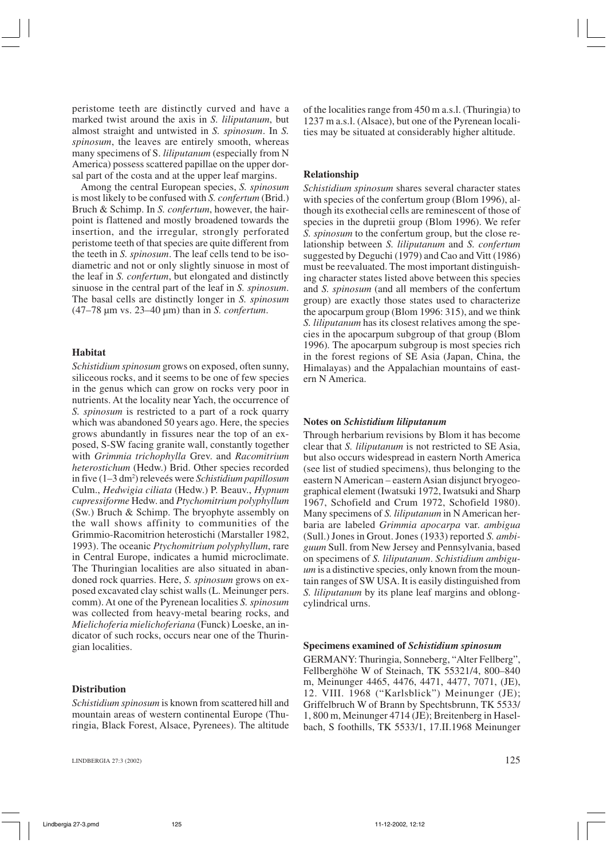peristome teeth are distinctly curved and have a marked twist around the axis in *S. liliputanum*, but almost straight and untwisted in *S. spinosum*. In *S. spinosum*, the leaves are entirely smooth, whereas many specimens of S. *liliputanum* (especially from N America) possess scattered papillae on the upper dorsal part of the costa and at the upper leaf margins.

Among the central European species, *S. spinosum* is most likely to be confused with *S. confertum* (Brid.) Bruch & Schimp. In *S. confertum*, however, the hairpoint is flattened and mostly broadened towards the insertion, and the irregular, strongly perforated peristome teeth of that species are quite different from the teeth in *S. spinosum*. The leaf cells tend to be isodiametric and not or only slightly sinuose in most of the leaf in *S. confertum*, but elongated and distinctly sinuose in the central part of the leaf in *S. spinosum*. The basal cells are distinctly longer in *S. spinosum* (47–78 µm vs. 23–40 µm) than in *S. confertum*.

# **Habitat**

*Schistidium spinosum* grows on exposed, often sunny, siliceous rocks, and it seems to be one of few species in the genus which can grow on rocks very poor in nutrients. At the locality near Yach, the occurrence of *S. spinosum* is restricted to a part of a rock quarry which was abandoned 50 years ago. Here, the species grows abundantly in fissures near the top of an exposed, S-SW facing granite wall, constantly together with *Grimmia trichophylla* Grev. and *Racomitrium heterostichum* (Hedw.) Brid. Other species recorded in five (1–3 dm2 ) releveés were *Schistidium papillosum* Culm., *Hedwigia ciliata* (Hedw.) P. Beauv., *Hypnum cupressiforme* Hedw. and *Ptychomitrium polyphyllum* (Sw.) Bruch & Schimp. The bryophyte assembly on the wall shows affinity to communities of the Grimmio-Racomitrion heterostichi (Marstaller 1982, 1993). The oceanic *Ptychomitrium polyphyllum*, rare in Central Europe, indicates a humid microclimate. The Thuringian localities are also situated in abandoned rock quarries. Here, *S. spinosum* grows on exposed excavated clay schist walls (L. Meinunger pers. comm). At one of the Pyrenean localities *S. spinosum* was collected from heavy-metal bearing rocks, and *Mielichoferia mielichoferiana* (Funck) Loeske, an indicator of such rocks, occurs near one of the Thuringian localities.

## **Distribution**

*Schistidium spinosum* is known from scattered hill and mountain areas of western continental Europe (Thuringia, Black Forest, Alsace, Pyrenees). The altitude

LINDBERGIA 27:3 (2002)

of the localities range from 450 m a.s.l. (Thuringia) to 1237 m a.s.l. (Alsace), but one of the Pyrenean localities may be situated at considerably higher altitude.

## **Relationship**

*Schistidium spinosum* shares several character states with species of the confertum group (Blom 1996), although its exothecial cells are reminescent of those of species in the dupretii group (Blom 1996). We refer *S. spinosum* to the confertum group, but the close relationship between *S. liliputanum* and *S. confertum* suggested by Deguchi (1979) and Cao and Vitt (1986) must be reevaluated. The most important distinguishing character states listed above between this species and *S. spinosum* (and all members of the confertum group) are exactly those states used to characterize the apocarpum group (Blom 1996: 315), and we think *S. liliputanum* has its closest relatives among the species in the apocarpum subgroup of that group (Blom 1996)*.* The apocarpum subgroup is most species rich in the forest regions of SE Asia (Japan, China, the Himalayas) and the Appalachian mountains of eastern N America.

#### **Notes on** *Schistidium liliputanum*

Through herbarium revisions by Blom it has become clear that *S. liliputanum* is not restricted to SE Asia, but also occurs widespread in eastern North America (see list of studied specimens), thus belonging to the eastern N American – eastern Asian disjunct bryogeographical element (Iwatsuki 1972, Iwatsuki and Sharp 1967, Schofield and Crum 1972, Schofield 1980). Many specimens of *S. liliputanum* in N American herbaria are labeled *Grimmia apocarpa* var. *ambigua* (Sull.) Jones in Grout. Jones (1933) reported *S. ambiguum* Sull. from New Jersey and Pennsylvania, based on specimens of *S. liliputanum*. *Schistidium ambiguum* is a distinctive species, only known from the mountain ranges of SW USA. It is easily distinguished from *S. liliputanum* by its plane leaf margins and oblongcylindrical urns.

#### **Specimens examined of** *Schistidium spinosum*

GERMANY: Thuringia, Sonneberg, "Alter Fellberg", Fellberghöhe W of Steinach, TK 55321/4, 800–840 m, Meinunger 4465, 4476, 4471, 4477, 7071, (JE), 12. VIII. 1968 ("Karlsblick") Meinunger (JE); Griffelbruch W of Brann by Spechtsbrunn, TK 5533/ 1, 800 m, Meinunger 4714 (JE); Breitenberg in Haselbach, S foothills, TK 5533/1, 17.II.1968 Meinunger

125